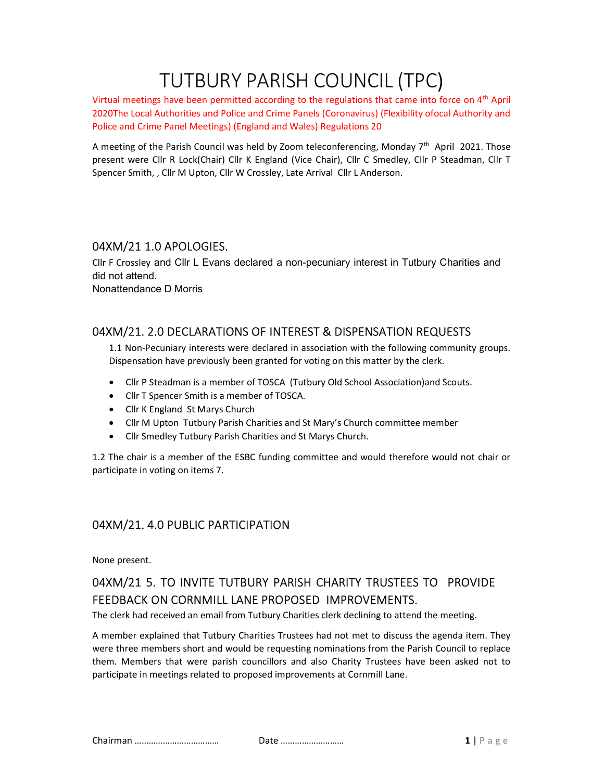# TUTBURY PARISH COUNCIL (TPC)

Virtual meetings have been permitted according to the regulations that came into force on 4<sup>th</sup> April 2020The Local Authorities and Police and Crime Panels (Coronavirus) (Flexibility ofocal Authority and Police and Crime Panel Meetings) (England and Wales) Regulations 20

A meeting of the Parish Council was held by Zoom teleconferencing, Monday  $7<sup>th</sup>$  April 2021. Those present were Cllr R Lock(Chair) Cllr K England (Vice Chair), Cllr C Smedley, Cllr P Steadman, Cllr T Spencer Smith, , Cllr M Upton, Cllr W Crossley, Late Arrival Cllr L Anderson.

#### 04XM/21 1.0 APOLOGIES.

Cllr F Crossley and Cllr L Evans declared a non-pecuniary interest in Tutbury Charities and did not attend. Nonattendance D Morris

### 04XM/21. 2.0 DECLARATIONS OF INTEREST & DISPENSATION REQUESTS

1.1 Non-Pecuniary interests were declared in association with the following community groups. Dispensation have previously been granted for voting on this matter by the clerk.

- Cllr P Steadman is a member of TOSCA (Tutbury Old School Association)and Scouts.
- Cllr T Spencer Smith is a member of TOSCA.
- Cllr K England St Marys Church
- Cllr M Upton Tutbury Parish Charities and St Mary's Church committee member
- Cllr Smedley Tutbury Parish Charities and St Marys Church.

1.2 The chair is a member of the ESBC funding committee and would therefore would not chair or participate in voting on items 7.

## 04XM/21. 4.0 PUBLIC PARTICIPATION

None present.

# 04XM/21 5. TO INVITE TUTBURY PARISH CHARITY TRUSTEES TO PROVIDE FEEDBACK ON CORNMILL LANE PROPOSED IMPROVEMENTS.

The clerk had received an email from Tutbury Charities clerk declining to attend the meeting.

A member explained that Tutbury Charities Trustees had not met to discuss the agenda item. They were three members short and would be requesting nominations from the Parish Council to replace them. Members that were parish councillors and also Charity Trustees have been asked not to participate in meetings related to proposed improvements at Cornmill Lane.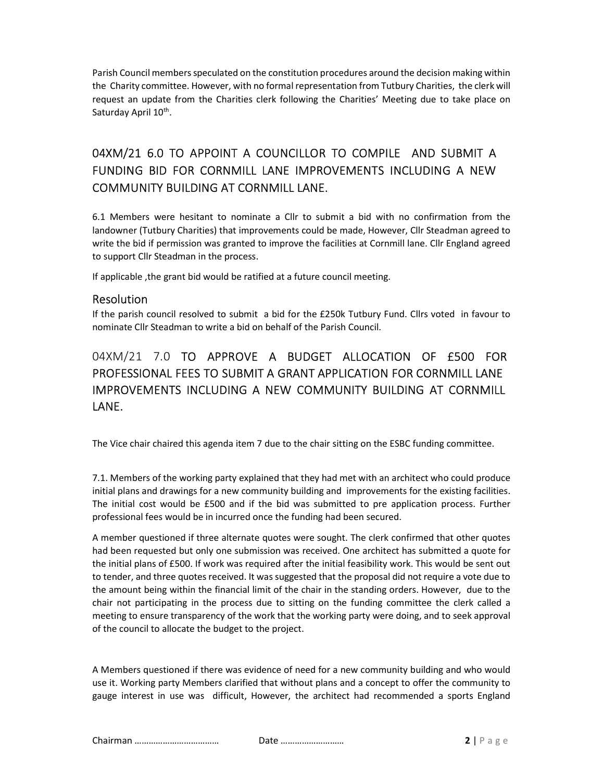Parish Council members speculated on the constitution procedures around the decision making within the Charity committee. However, with no formal representation from Tutbury Charities, the clerk will request an update from the Charities clerk following the Charities' Meeting due to take place on Saturday April 10<sup>th</sup>.

# 04XM/21 6.0 TO APPOINT A COUNCILLOR TO COMPILE AND SUBMIT A FUNDING BID FOR CORNMILL LANE IMPROVEMENTS INCLUDING A NEW COMMUNITY BUILDING AT CORNMILL LANE.

6.1 Members were hesitant to nominate a Cllr to submit a bid with no confirmation from the landowner (Tutbury Charities) that improvements could be made, However, Cllr Steadman agreed to write the bid if permission was granted to improve the facilities at Cornmill lane. Cllr England agreed to support Cllr Steadman in the process.

If applicable ,the grant bid would be ratified at a future council meeting.

#### Resolution

If the parish council resolved to submit a bid for the £250k Tutbury Fund. Cllrs voted in favour to nominate Cllr Steadman to write a bid on behalf of the Parish Council.

## 04XM/21 7.0 TO APPROVE A BUDGET ALLOCATION OF £500 FOR PROFESSIONAL FEES TO SUBMIT A GRANT APPLICATION FOR CORNMILL LANE IMPROVEMENTS INCLUDING A NEW COMMUNITY BUILDING AT CORNMILL LANE.

The Vice chair chaired this agenda item 7 due to the chair sitting on the ESBC funding committee.

7.1. Members of the working party explained that they had met with an architect who could produce initial plans and drawings for a new community building and improvements for the existing facilities. The initial cost would be £500 and if the bid was submitted to pre application process. Further professional fees would be in incurred once the funding had been secured.

A member questioned if three alternate quotes were sought. The clerk confirmed that other quotes had been requested but only one submission was received. One architect has submitted a quote for the initial plans of £500. If work was required after the initial feasibility work. This would be sent out to tender, and three quotes received. It was suggested that the proposal did not require a vote due to the amount being within the financial limit of the chair in the standing orders. However, due to the chair not participating in the process due to sitting on the funding committee the clerk called a meeting to ensure transparency of the work that the working party were doing, and to seek approval of the council to allocate the budget to the project.

A Members questioned if there was evidence of need for a new community building and who would use it. Working party Members clarified that without plans and a concept to offer the community to gauge interest in use was difficult, However, the architect had recommended a sports England

Chairman ……………………………… Date ……………………… 2 | P a g e